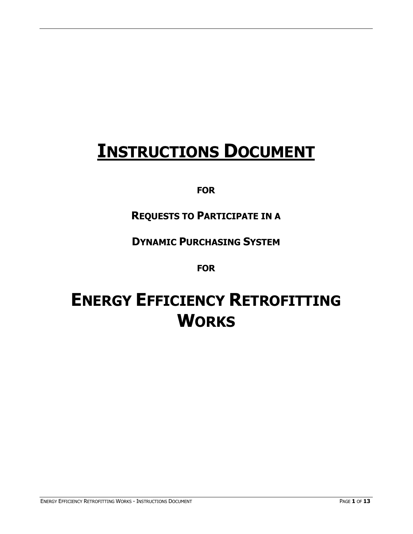# **INSTRUCTIONS DOCUMENT**

## **FOR**

## **REQUESTS TO PARTICIPATE IN A**

## **DYNAMIC PURCHASING SYSTEM**

### **FOR**

# **ENERGY EFFICIENCY RETROFITTING WORKS**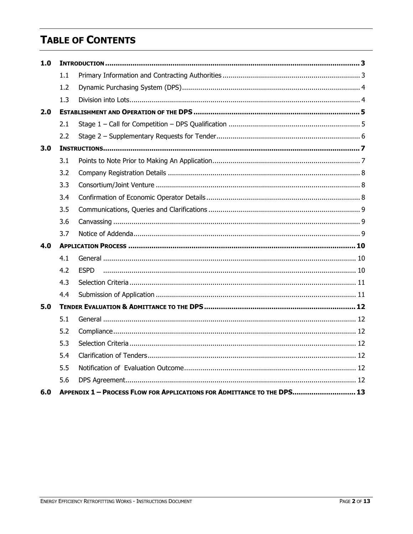# **TABLE OF CONTENTS**

| 1.0 |     |                                                                         |  |  |
|-----|-----|-------------------------------------------------------------------------|--|--|
|     | 1.1 |                                                                         |  |  |
|     | 1.2 |                                                                         |  |  |
|     | 1.3 |                                                                         |  |  |
| 2.0 |     |                                                                         |  |  |
|     | 2.1 |                                                                         |  |  |
|     | 2.2 |                                                                         |  |  |
| 3.0 |     |                                                                         |  |  |
|     | 3.1 |                                                                         |  |  |
|     | 3.2 |                                                                         |  |  |
|     | 3.3 |                                                                         |  |  |
|     | 3.4 |                                                                         |  |  |
|     | 3.5 |                                                                         |  |  |
|     | 3.6 |                                                                         |  |  |
|     | 3.7 |                                                                         |  |  |
| 4.0 |     |                                                                         |  |  |
|     | 4.1 |                                                                         |  |  |
|     | 4.2 | <b>FSPD</b>                                                             |  |  |
|     | 4.3 |                                                                         |  |  |
|     | 4.4 |                                                                         |  |  |
| 5.0 |     |                                                                         |  |  |
|     | 5.1 |                                                                         |  |  |
|     | 5.2 |                                                                         |  |  |
|     | 5.3 |                                                                         |  |  |
|     | 5.4 |                                                                         |  |  |
|     | 5.5 |                                                                         |  |  |
|     | 5.6 |                                                                         |  |  |
| 6.0 |     | APPENDIX 1 - PROCESS FLOW FOR APPLICATIONS FOR ADMITTANCE TO THE DPS 13 |  |  |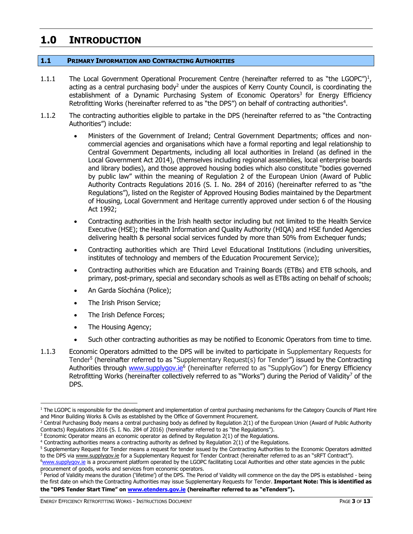## <span id="page-2-0"></span>**1.0 INTRODUCTION**

#### <span id="page-2-1"></span>**1.1 PRIMARY INFORMATION AND CONTRACTING AUTHORITIES**

- 1.1.1 The Local Government Operational Procurement Centre (hereinafter referred to as "the LGOPC")<sup>1</sup>, acting as a central purchasing body<sup>2</sup> under the auspices of Kerry County Council, is coordinating the establishment of a Dynamic Purchasing System of Economic Operators<sup>3</sup> for Energy Efficiency Retrofitting Works (hereinafter referred to as "the DPS") on behalf of contracting authorities<sup>4</sup>.
- 1.1.2 The contracting authorities eligible to partake in the DPS (hereinafter referred to as "the Contracting Authorities") include:
	- Ministers of the Government of Ireland; Central Government Departments; offices and noncommercial agencies and organisations which have a formal reporting and legal relationship to Central Government Departments, including all local authorities in Ireland (as defined in the Local Government Act 2014), (themselves including regional assemblies, local enterprise boards and library bodies), and those approved housing bodies which also constitute "bodies governed by public law" within the meaning of Regulation 2 of the European Union (Award of Public Authority Contracts Regulations 2016 (S. I. No. 284 of 2016) (hereinafter referred to as "the Regulations"), listed on the Register of Approved Housing Bodies maintained by the Department of Housing, Local Government and Heritage currently approved under section 6 of the Housing Act 1992;
	- Contracting authorities in the Irish health sector including but not limited to the Health Service Executive (HSE); the Health Information and Quality Authority (HIQA) and HSE funded Agencies delivering health & personal social services funded by more than 50% from Exchequer funds;
	- Contracting authorities which are Third Level Educational Institutions (including universities, institutes of technology and members of the Education Procurement Service);
	- Contracting authorities which are Education and Training Boards (ETBs) and ETB schools, and primary, post-primary, special and secondary schools as well as ETBs acting on behalf of schools;
	- An Garda Síochána (Police);
	- The Irish Prison Service;
	- The Irish Defence Forces;
	- The Housing Agency;
	- Such other contracting authorities as may be notified to Economic Operators from time to time.
- 1.1.3 Economic Operators admitted to the DPS will be invited to participate in Supplementary Requests for Tender<sup>5</sup> (hereinafter referred to as "Supplementary Request(s) for Tender") issued by the Contracting Authorities through [www.supplygov.ie](http://www.supplygov.ie/)<sup>6</sup> (hereinafter referred to as "SupplyGov") for Energy Efficiency Retrofitting Works (hereinafter collectively referred to as "Works") during the Period of Validity<sup>7</sup> of the DPS.

the first date on which the Contracting Authorities may issue Supplementary Requests for Tender. **Important Note: This is identified as the "DPS Tender Start Time" on [www.etenders.gov.ie](http://www.etenders.gov.ie/) (hereinafter referred to as "eTenders").**

ENERGY EFFICIENCY RETROFITTING WORKS - INSTRUCTIONS DOCUMENT **FOUR SET ASSESSMENT PAGE 3 OF 13** 

<sup>&</sup>lt;sup>1</sup> The LGOPC is responsible for the development and implementation of central purchasing mechanisms for the Category Councils of Plant Hire and Minor Building Works & Civils as established by the Office of Government Procurement.

<sup>&</sup>lt;sup>2</sup> Central Purchasing Body means a central purchasing body as defined by Regulation 2(1) of the European Union (Award of Public Authority Contracts) Regulations 2016 (S. I. No. 284 of 2016) (hereinafter referred to as "the Regulations").

 $3$  Economic Operator means an economic operator as defined by Regulation  $2(1)$  of the Regulations.

<sup>4</sup> Contracting authorities means a contracting authority as defined by Regulation 2(1) of the Regulations.

<sup>&</sup>lt;sup>5</sup> Supplementary Request for Tender means a request for tender issued by the Contracting Authorities to the Economic Operators admitted to the DPS vi[a www.supplygov.ie](http://www.supplygov.ie/) for a Supplementary Request for Tender Contract (hereinafter referred to as an "sRFT Contract"). <sup>6</sup>[www.supplygov.i](http://www.supplygov/)e is a procurement platform operated by the LGOPC facilitating Local Authorities and other state agencies in the public

procurement of goods, works and services from economic operators. <sup>7</sup> Period of Validity means the duration ('lifetime') of the DPS. The Period of Validity will commence on the day the DPS is established - being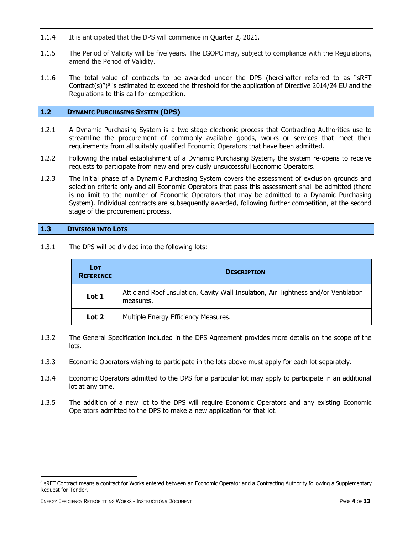- 1.1.4 It is anticipated that the DPS will commence in Quarter 2, 2021.
- 1.1.5 The Period of Validity will be five years. The LGOPC may, subject to compliance with the Regulations, amend the Period of Validity.
- 1.1.6 The total value of contracts to be awarded under the DPS (hereinafter referred to as "sRFT Contract(s)")<sup>8</sup> is estimated to exceed the threshold for the application of Directive 2014/24 EU and the Regulations to this call for competition.

#### <span id="page-3-0"></span>**1.2 DYNAMIC PURCHASING SYSTEM (DPS)**

- 1.2.1 A Dynamic Purchasing System is a two-stage electronic process that Contracting Authorities use to streamline the procurement of commonly available goods, works or services that meet their requirements from all suitably qualified Economic Operators that have been admitted.
- 1.2.2 Following the initial establishment of a Dynamic Purchasing System, the system re-opens to receive requests to participate from new and previously unsuccessful Economic Operators.
- 1.2.3 The initial phase of a Dynamic Purchasing System covers the assessment of exclusion grounds and selection criteria only and all Economic Operators that pass this assessment shall be admitted (there is no limit to the number of Economic Operators that may be admitted to a Dynamic Purchasing System). Individual contracts are subsequently awarded, following further competition, at the second stage of the procurement process.

#### <span id="page-3-1"></span>**1.3 DIVISION INTO LOTS**

1.3.1 The DPS will be divided into the following lots:

| <b>LOT</b><br><b>REFERENCE</b> | <b>DESCRIPTION</b>                                                                               |  |  |
|--------------------------------|--------------------------------------------------------------------------------------------------|--|--|
| Lot 1                          | Attic and Roof Insulation, Cavity Wall Insulation, Air Tightness and/or Ventilation<br>measures. |  |  |
| Lot 2                          | Multiple Energy Efficiency Measures.                                                             |  |  |

- 1.3.2 The General Specification included in the DPS Agreement provides more details on the scope of the lots.
- 1.3.3 Economic Operators wishing to participate in the lots above must apply for each lot separately.
- 1.3.4 Economic Operators admitted to the DPS for a particular lot may apply to participate in an additional lot at any time.
- 1.3.5 The addition of a new lot to the DPS will require Economic Operators and any existing Economic Operators admitted to the DPS to make a new application for that lot.

ENERGY EFFICIENCY RETROFITTING WORKS - INSTRUCTIONS DOCUMENT PAGE **4** OF **13**

<sup>&</sup>lt;sup>8</sup> sRFT Contract means a contract for Works entered between an Economic Operator and a Contracting Authority following a Supplementary Request for Tender.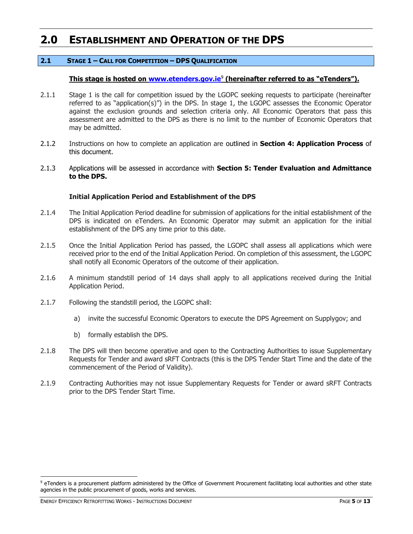## <span id="page-4-0"></span>**2.0 ESTABLISHMENT AND OPERATION OF THE DPS**

#### <span id="page-4-1"></span>**2.1 STAGE 1 – CALL FOR COMPETITION – DPS QUALIFICATION**

#### **This stage is hosted on [www.etenders.gov.ie](http://www.etenders.gov.ie/)**<sup>9</sup> **(hereinafter referred to as "eTenders").**

- 2.1.1 Stage 1 is the call for competition issued by the LGOPC seeking requests to participate (hereinafter referred to as "application(s)") in the DPS. In stage 1, the LGOPC assesses the Economic Operator against the exclusion grounds and selection criteria only. All Economic Operators that pass this assessment are admitted to the DPS as there is no limit to the number of Economic Operators that may be admitted.
- 2.1.2 Instructions on how to complete an application are outlined in **Section 4: Application Process** of this document.
- 2.1.3 Applications will be assessed in accordance with **Section 5: Tender Evaluation and Admittance to the DPS.**

#### **Initial Application Period and Establishment of the DPS**

- 2.1.4 The Initial Application Period deadline for submission of applications for the initial establishment of the DPS is indicated on eTenders. An Economic Operator may submit an application for the initial establishment of the DPS any time prior to this date.
- 2.1.5 Once the Initial Application Period has passed, the LGOPC shall assess all applications which were received prior to the end of the Initial Application Period. On completion of this assessment, the LGOPC shall notify all Economic Operators of the outcome of their application.
- 2.1.6 A minimum standstill period of 14 days shall apply to all applications received during the Initial Application Period.
- 2.1.7 Following the standstill period, the LGOPC shall:
	- a) invite the successful Economic Operators to execute the DPS Agreement on Supplygov; and
	- b) formally establish the DPS.
- 2.1.8 The DPS will then become operative and open to the Contracting Authorities to issue Supplementary Requests for Tender and award sRFT Contracts (this is the DPS Tender Start Time and the date of the commencement of the Period of Validity).
- 2.1.9 Contracting Authorities may not issue Supplementary Requests for Tender or award sRFT Contracts prior to the DPS Tender Start Time.

ENERGY EFFICIENCY RETROFITTING WORKS - INSTRUCTIONS DOCUMENT **FOUR SET ASSESSED FOUR SET ASSESS** OF 13

<sup>&</sup>lt;sup>9</sup> eTenders is a procurement platform administered by the Office of Government Procurement facilitating local authorities and other state agencies in the public procurement of goods, works and services.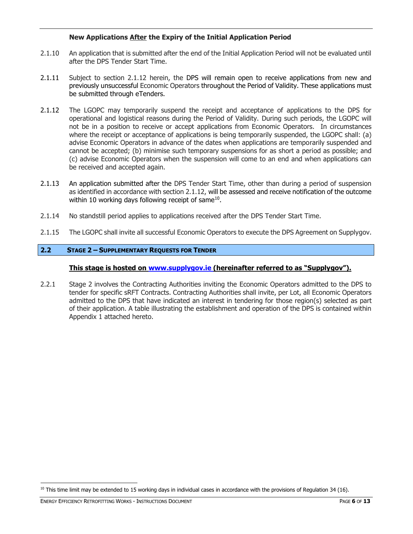#### **New Applications After the Expiry of the Initial Application Period**

- 2.1.10 An application that is submitted after the end of the Initial Application Period will not be evaluated until after the DPS Tender Start Time.
- 2.1.11 Subject to section 2.1.12 herein, the DPS will remain open to receive applications from new and previously unsuccessful Economic Operators throughout the Period of Validity. These applications must be submitted through eTenders.
- 2.1.12 The LGOPC may temporarily suspend the receipt and acceptance of applications to the DPS for operational and logistical reasons during the Period of Validity. During such periods, the LGOPC will not be in a position to receive or accept applications from Economic Operators. In circumstances where the receipt or acceptance of applications is being temporarily suspended, the LGOPC shall: (a) advise Economic Operators in advance of the dates when applications are temporarily suspended and cannot be accepted; (b) minimise such temporary suspensions for as short a period as possible; and (c) advise Economic Operators when the suspension will come to an end and when applications can be received and accepted again.
- 2.1.13 An application submitted after the DPS Tender Start Time, other than during a period of suspension as identified in accordance with section 2.1.12, will be assessed and receive notification of the outcome within 10 working days following receipt of same $^{10}$ .
- 2.1.14 No standstill period applies to applications received after the DPS Tender Start Time.
- 2.1.15 The LGOPC shall invite all successful Economic Operators to execute the DPS Agreement on Supplygov.

#### <span id="page-5-0"></span>**2.2 STAGE 2 – SUPPLEMENTARY REQUESTS FOR TENDER**

#### **This stage is hosted on [www.supplygov.ie](http://www.supplygov.ie/) (hereinafter referred to as "Supplygov").**

2.2.1 Stage 2 involves the Contracting Authorities inviting the Economic Operators admitted to the DPS to tender for specific sRFT Contracts. Contracting Authorities shall invite, per Lot, all Economic Operators admitted to the DPS that have indicated an interest in tendering for those region(s) selected as part of their application. A table illustrating the establishment and operation of the DPS is contained within Appendix 1 attached hereto.

 $10$  This time limit may be extended to 15 working days in individual cases in accordance with the provisions of Regulation 34 (16).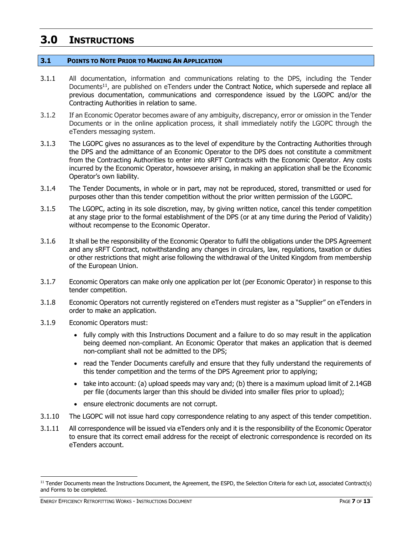## <span id="page-6-0"></span>**3.0 INSTRUCTIONS**

#### <span id="page-6-1"></span>**3.1 POINTS TO NOTE PRIOR TO MAKING AN APPLICATION**

- 3.1.1 All documentation, information and communications relating to the DPS, including the Tender Documents<sup>11</sup>, are published on eTenders under the Contract Notice, which supersede and replace all previous documentation, communications and correspondence issued by the LGOPC and/or the Contracting Authorities in relation to same.
- 3.1.2 If an Economic Operator becomes aware of any ambiguity, discrepancy, error or omission in the Tender Documents or in the online application process, it shall immediately notify the LGOPC through the eTenders messaging system.
- 3.1.3 The LGOPC gives no assurances as to the level of expenditure by the Contracting Authorities through the DPS and the admittance of an Economic Operator to the DPS does not constitute a commitment from the Contracting Authorities to enter into sRFT Contracts with the Economic Operator. Any costs incurred by the Economic Operator, howsoever arising, in making an application shall be the Economic Operator's own liability.
- 3.1.4 The Tender Documents, in whole or in part, may not be reproduced, stored, transmitted or used for purposes other than this tender competition without the prior written permission of the LGOPC.
- 3.1.5 The LGOPC, acting in its sole discretion, may, by giving written notice, cancel this tender competition at any stage prior to the formal establishment of the DPS (or at any time during the Period of Validity) without recompense to the Economic Operator.
- 3.1.6 It shall be the responsibility of the Economic Operator to fulfil the obligations under the DPS Agreement and any sRFT Contract, notwithstanding any changes in circulars, law, regulations, taxation or duties or other restrictions that might arise following the withdrawal of the United Kingdom from membership of the European Union.
- 3.1.7 Economic Operators can make only one application per lot (per Economic Operator) in response to this tender competition.
- 3.1.8 Economic Operators not currently registered on eTenders must register as a "Supplier" on eTenders in order to make an application.
- 3.1.9 Economic Operators must:
	- fully comply with this Instructions Document and a failure to do so may result in the application being deemed non-compliant. An Economic Operator that makes an application that is deemed non-compliant shall not be admitted to the DPS;
	- read the Tender Documents carefully and ensure that they fully understand the requirements of this tender competition and the terms of the DPS Agreement prior to applying;
	- take into account: (a) upload speeds may vary and; (b) there is a maximum upload limit of 2.14GB per file (documents larger than this should be divided into smaller files prior to upload);
	- ensure electronic documents are not corrupt.
- 3.1.10 The LGOPC will not issue hard copy correspondence relating to any aspect of this tender competition.
- 3.1.11 All correspondence will be issued via eTenders only and it is the responsibility of the Economic Operator to ensure that its correct email address for the receipt of electronic correspondence is recorded on its eTenders account.

<sup>&</sup>lt;sup>11</sup> Tender Documents mean the Instructions Document, the Agreement, the ESPD, the Selection Criteria for each Lot, associated Contract(s) and Forms to be completed.

ENERGY EFFICIENCY RETROFITTING WORKS - INSTRUCTIONS DOCUMENT **FOR A SET A SET A SET A SET A** PAGE **7** OF 13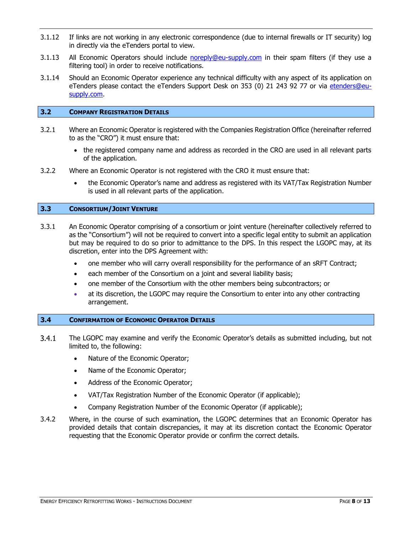- 3.1.12 If links are not working in any electronic correspondence (due to internal firewalls or IT security) log in directly via the eTenders portal to view.
- 3.1.13 All Economic Operators should include [noreply@eu-supply.com](mailto:noreply@eu-supply.com) in their spam filters (if they use a filtering tool) in order to receive notifications.
- 3.1.14 Should an Economic Operator experience any technical difficulty with any aspect of its application on eTenders please contact the eTenders Support Desk on 353 (0) 21 243 92 77 or via etenders@eusupply.com.

#### <span id="page-7-0"></span>**3.2 COMPANY REGISTRATION DETAILS**

- 3.2.1 Where an Economic Operator is registered with the Companies Registration Office (hereinafter referred to as the "CRO") it must ensure that:
	- the registered company name and address as recorded in the CRO are used in all relevant parts of the application.
- 3.2.2 Where an Economic Operator is not registered with the CRO it must ensure that:
	- the Economic Operator's name and address as registered with its VAT/Tax Registration Number is used in all relevant parts of the application.

#### <span id="page-7-1"></span>**3.3 CONSORTIUM/JOINT VENTURE**

- 3.3.1 An Economic Operator comprising of a consortium or joint venture (hereinafter collectively referred to as the "Consortium") will not be required to convert into a specific legal entity to submit an application but may be required to do so prior to admittance to the DPS. In this respect the LGOPC may, at its discretion, enter into the DPS Agreement with:
	- one member who will carry overall responsibility for the performance of an sRFT Contract;
	- each member of the Consortium on a joint and several liability basis;
	- one member of the Consortium with the other members being subcontractors; or
	- at its discretion, the LGOPC may require the Consortium to enter into any other contracting arrangement.

#### <span id="page-7-2"></span>**3.4 CONFIRMATION OF ECONOMIC OPERATOR DETAILS**

- $3.4.1$ The LGOPC may examine and verify the Economic Operator's details as submitted including, but not limited to, the following:
	- Nature of the Economic Operator;
	- Name of the Economic Operator;
	- Address of the Economic Operator;
	- VAT/Tax Registration Number of the Economic Operator (if applicable);
	- Company Registration Number of the Economic Operator (if applicable);
- 3.4.2 Where, in the course of such examination, the LGOPC determines that an Economic Operator has provided details that contain discrepancies, it may at its discretion contact the Economic Operator requesting that the Economic Operator provide or confirm the correct details.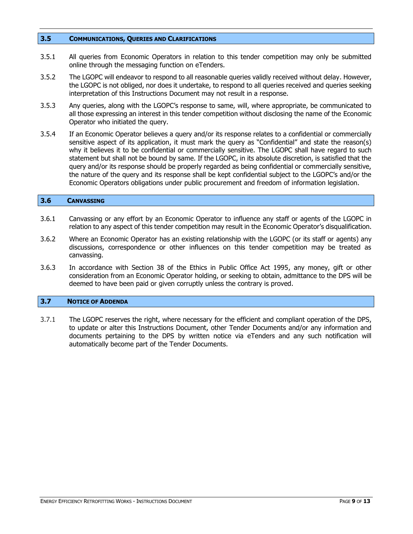#### <span id="page-8-0"></span>**3.5 COMMUNICATIONS, QUERIES AND CLARIFICATIONS**

- 3.5.1 All queries from Economic Operators in relation to this tender competition may only be submitted online through the messaging function on eTenders.
- 3.5.2 The LGOPC will endeavor to respond to all reasonable queries validly received without delay. However, the LGOPC is not obliged, nor does it undertake, to respond to all queries received and queries seeking interpretation of this Instructions Document may not result in a response.
- 3.5.3 Any queries, along with the LGOPC's response to same, will, where appropriate, be communicated to all those expressing an interest in this tender competition without disclosing the name of the Economic Operator who initiated the query.
- 3.5.4 If an Economic Operator believes a query and/or its response relates to a confidential or commercially sensitive aspect of its application, it must mark the query as "Confidential" and state the reason(s) why it believes it to be confidential or commercially sensitive. The LGOPC shall have regard to such statement but shall not be bound by same. If the LGOPC, in its absolute discretion, is satisfied that the query and/or its response should be properly regarded as being confidential or commercially sensitive, the nature of the query and its response shall be kept confidential subject to the LGOPC's and/or the Economic Operators obligations under public procurement and freedom of information legislation.

#### <span id="page-8-1"></span>**3.6 CANVASSING**

- 3.6.1 Canvassing or any effort by an Economic Operator to influence any staff or agents of the LGOPC in relation to any aspect of this tender competition may result in the Economic Operator's disqualification.
- 3.6.2 Where an Economic Operator has an existing relationship with the LGOPC (or its staff or agents) any discussions, correspondence or other influences on this tender competition may be treated as canvassing.
- 3.6.3 In accordance with Section 38 of the Ethics in Public Office Act 1995, any money, gift or other consideration from an Economic Operator holding, or seeking to obtain, admittance to the DPS will be deemed to have been paid or given corruptly unless the contrary is proved.

#### <span id="page-8-2"></span>**3.7 NOTICE OF ADDENDA**

3.7.1 The LGOPC reserves the right, where necessary for the efficient and compliant operation of the DPS, to update or alter this Instructions Document, other Tender Documents and/or any information and documents pertaining to the DPS by written notice via eTenders and any such notification will automatically become part of the Tender Documents.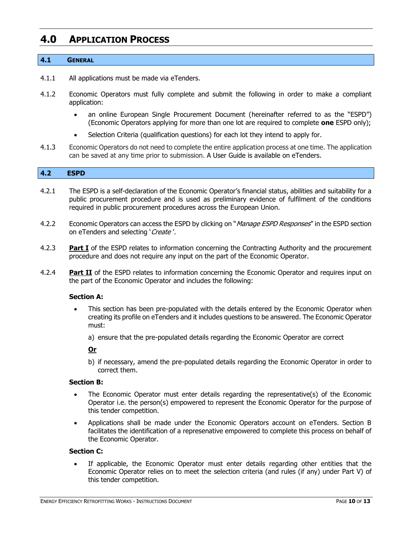### <span id="page-9-0"></span>**4.0 APPLICATION PROCESS**

#### <span id="page-9-1"></span>**4.1 GENERAL**

- 4.1.1 All applications must be made via eTenders.
- 4.1.2 Economic Operators must fully complete and submit the following in order to make a compliant application:
	- an online European Single Procurement Document (hereinafter referred to as the "ESPD") (Economic Operators applying for more than one lot are required to complete **one** ESPD only);
	- Selection Criteria (qualification questions) for each lot they intend to apply for.
- 4.1.3 Economic Operators do not need to complete the entire application process at one time. The application can be saved at any time prior to submission. A User Guide is available on eTenders.

#### <span id="page-9-2"></span>**4.2 ESPD**

- 4.2.1 The ESPD is a self-declaration of the Economic Operator's financial status, abilities and suitability for a public procurement procedure and is used as preliminary evidence of fulfilment of the conditions required in public procurement procedures across the European Union.
- 4.2.2 Economic Operators can access the ESPD by clicking on "*Manage ESPD Responses*" in the ESPD section on eTenders and selecting 'Create'.
- 4.2.3 **Part I** of the ESPD relates to information concerning the Contracting Authority and the procurement procedure and does not require any input on the part of the Economic Operator.
- 4.2.4 **Part II** of the ESPD relates to information concerning the Economic Operator and requires input on the part of the Economic Operator and includes the following:

#### **Section A:**

- This section has been pre-populated with the details entered by the Economic Operator when creating its profile on eTenders and it includes questions to be answered. The Economic Operator must:
	- a) ensure that the pre-populated details regarding the Economic Operator are correct

#### **Or**

b) if necessary, amend the pre-populated details regarding the Economic Operator in order to correct them.

#### **Section B:**

- The Economic Operator must enter details regarding the representative(s) of the Economic Operator i.e. the person(s) empowered to represent the Economic Operator for the purpose of this tender competition.
- Applications shall be made under the Economic Operators account on eTenders. Section B facilitates the identification of a represenative empowered to complete this process on behalf of the Economic Operator.

#### **Section C:**

If applicable, the Economic Operator must enter details regarding other entities that the Economic Operator relies on to meet the selection criteria (and rules (if any) under Part V) of this tender competition.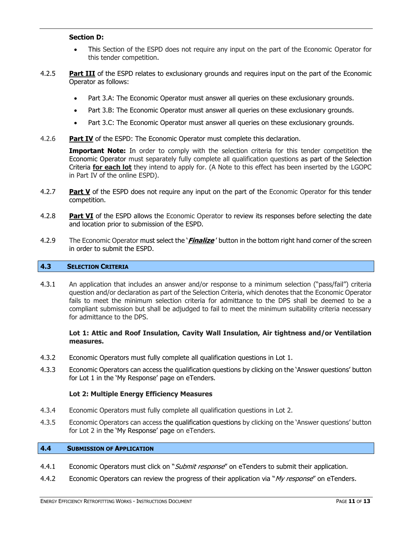#### **Section D:**

- This Section of the ESPD does not require any input on the part of the Economic Operator for this tender competition.
- 4.2.5 **Part III** of the ESPD relates to exclusionary grounds and requires input on the part of the Economic Operator as follows:
	- Part 3.A: The Economic Operator must answer all queries on these exclusionary grounds.
	- Part 3.B: The Economic Operator must answer all queries on these exclusionary grounds.
	- Part 3.C: The Economic Operator must answer all queries on these exclusionary grounds.
- 4.2.6 **Part IV** of the ESPD: The Economic Operator must complete this declaration.

**Important Note:** In order to comply with the selection criteria for this tender competition the Economic Operator must separately fully complete all qualification questions as part of the Selection Criteria **for each lot** they intend to apply for. (A Note to this effect has been inserted by the LGOPC in Part IV of the online ESPD).

- 4.2.7 **Part V** of the ESPD does not require any input on the part of the Economic Operator for this tender competition.
- 4.2.8 **Part VI** of the ESPD allows the Economic Operator to review its responses before selecting the date and location prior to submission of the ESPD.
- 4.2.9 The Economic Operator must select the '**Finalize** ' button in the bottom right hand corner of the screen in order to submit the ESPD.

#### <span id="page-10-0"></span>**4.3 SELECTION CRITERIA**

4.3.1 An application that includes an answer and/or response to a minimum selection ("pass/fail") criteria question and/or declaration as part of the Selection Criteria, which denotes that the Economic Operator fails to meet the minimum selection criteria for admittance to the DPS shall be deemed to be a compliant submission but shall be adjudged to fail to meet the minimum suitability criteria necessary for admittance to the DPS.

#### **Lot 1: Attic and Roof Insulation, Cavity Wall Insulation, Air tightness and/or Ventilation measures.**

- 4.3.2 Economic Operators must fully complete all qualification questions in Lot 1.
- 4.3.3 Economic Operators can access the qualification questions by clicking on the 'Answer questions' button for Lot 1 in the 'My Response' page on eTenders.

#### **Lot 2: Multiple Energy Efficiency Measures**

- 4.3.4 Economic Operators must fully complete all qualification questions in Lot 2.
- 4.3.5 Economic Operators can access the qualification questions by clicking on the 'Answer questions' button for Lot 2 in the 'My Response' page on eTenders.

#### <span id="page-10-1"></span>**4.4 SUBMISSION OF APPLICATION**

- 4.4.1 Economic Operators must click on "*Submit response*" on eTenders to submit their application.
- 4.4.2 Economic Operators can review the progress of their application via "My response" on [eTenders.](http://www.etenders.gov.ie/)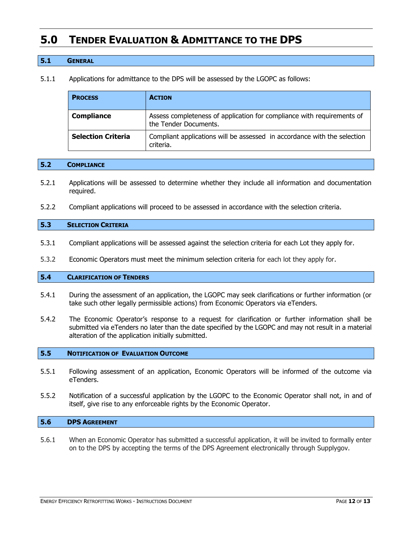## <span id="page-11-0"></span>**5.0 TENDER EVALUATION & ADMITTANCE TO THE DPS**

#### <span id="page-11-1"></span>**5.1 GENERAL**

5.1.1 Applications for admittance to the DPS will be assessed by the LGOPC as follows:

| <b>PROCESS</b>            | <b>ACTION</b>                                                                                   |  |
|---------------------------|-------------------------------------------------------------------------------------------------|--|
| <b>Compliance</b>         | Assess completeness of application for compliance with requirements of<br>the Tender Documents. |  |
| <b>Selection Criteria</b> | Compliant applications will be assessed in accordance with the selection<br>criteria.           |  |

#### <span id="page-11-2"></span>**5.2 COMPLIANCE**

- 5.2.1 Applications will be assessed to determine whether they include all information and documentation required.
- 5.2.2 Compliant applications will proceed to be assessed in accordance with the selection criteria.

#### <span id="page-11-3"></span>**5.3 SELECTION CRITERIA**

- 5.3.1 Compliant applications will be assessed against the selection criteria for each Lot they apply for.
- 5.3.2 Economic Operators must meet the minimum selection criteria for each lot they apply for.

#### <span id="page-11-4"></span>**5.4 CLARIFICATION OF TENDERS**

- 5.4.1 During the assessment of an application, the LGOPC may seek clarifications or further information (or take such other legally permissible actions) from Economic Operators via eTenders.
- 5.4.2 The Economic Operator's response to a request for clarification or further information shall be submitted via eTenders no later than the date specified by the LGOPC and may not result in a material alteration of the application initially submitted.

#### <span id="page-11-5"></span>**5.5 NOTIFICATION OF EVALUATION OUTCOME**

- 5.5.1 Following assessment of an application, Economic Operators will be informed of the outcome via eTenders.
- 5.5.2 Notification of a successful application by the LGOPC to the Economic Operator shall not, in and of itself, give rise to any enforceable rights by the Economic Operator.

#### <span id="page-11-6"></span>**5.6 DPS AGREEMENT**

5.6.1 When an Economic Operator has submitted a successful application, it will be invited to formally enter on to the DPS by accepting the terms of the DPS Agreement electronically through Supplygov.